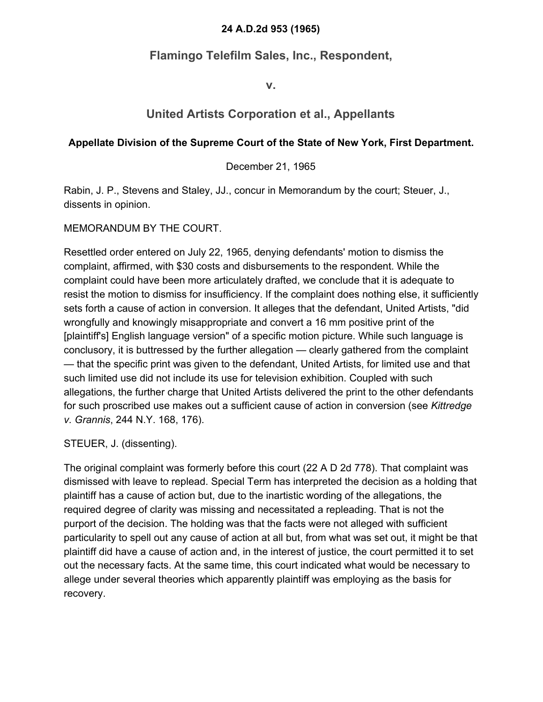## **24 A.D.2d 953 (1965)**

## **Flamingo Telefilm Sales, Inc., Respondent,**

**v.**

## **United Artists Corporation et al., Appellants**

## **Appellate Division of the Supreme Court of the State of New York, First Department.**

December 21, 1965

Rabin, J. P., Stevens and Staley, JJ., concur in Memorandum by the court; Steuer, J., dissents in opinion.

MEMORANDUM BY THE COURT.

Resettled order entered on July 22, 1965, denying defendants' motion to dismiss the complaint, affirmed, with \$30 costs and disbursements to the respondent. While the complaint could have been more articulately drafted, we conclude that it is adequate to resist the motion to dismiss for insufficiency. If the complaint does nothing else, it sufficiently sets forth a cause of action in conversion. It alleges that the defendant, United Artists, "did wrongfully and knowingly misappropriate and convert a 16 mm positive print of the [plaintiff's] English language version" of a specific motion picture. While such language is conclusory, it is buttressed by the further allegation — clearly gathered from the complaint — that the specific print was given to the defendant, United Artists, for limited use and that such limited use did not include its use for television exhibition. Coupled with such allegations, the further charge that United Artists delivered the print to the other defendants for such proscribed use makes out a sufficient cause of action in conversion (see *Kittredge v. Grannis*, 244 N.Y. 168, 176).

STEUER, J. (dissenting).

The original complaint was formerly before this court (22 A D 2d 778). That complaint was dismissed with leave to replead. Special Term has interpreted the decision as a holding that plaintiff has a cause of action but, due to the inartistic wording of the allegations, the required degree of clarity was missing and necessitated a repleading. That is not the purport of the decision. The holding was that the facts were not alleged with sufficient particularity to spell out any cause of action at all but, from what was set out, it might be that plaintiff did have a cause of action and, in the interest of justice, the court permitted it to set out the necessary facts. At the same time, this court indicated what would be necessary to allege under several theories which apparently plaintiff was employing as the basis for recovery.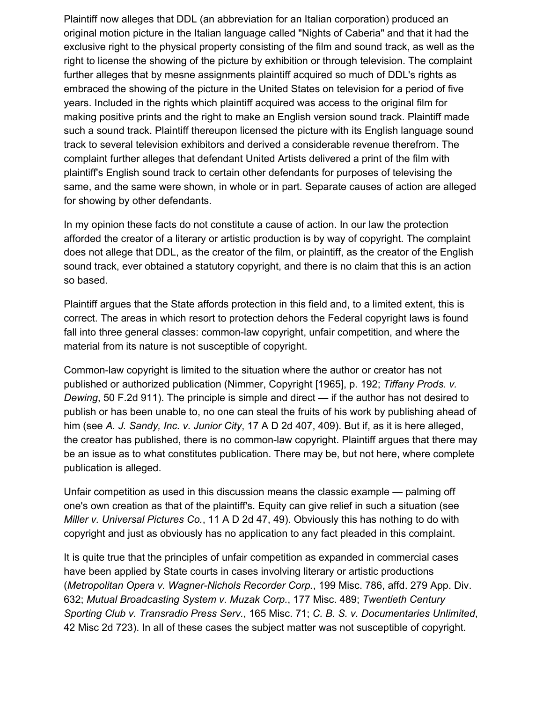Plaintiff now alleges that DDL (an abbreviation for an Italian corporation) produced an original motion picture in the Italian language called "Nights of Caberia" and that it had the exclusive right to the physical property consisting of the film and sound track, as well as the right to license the showing of the picture by exhibition or through television. The complaint further alleges that by mesne assignments plaintiff acquired so much of DDL's rights as embraced the showing of the picture in the United States on television for a period of five years. Included in the rights which plaintiff acquired was access to the original film for making positive prints and the right to make an English version sound track. Plaintiff made such a sound track. Plaintiff thereupon licensed the picture with its English language sound track to several television exhibitors and derived a considerable revenue therefrom. The complaint further alleges that defendant United Artists delivered a print of the film with plaintiff's English sound track to certain other defendants for purposes of televising the same, and the same were shown, in whole or in part. Separate causes of action are alleged for showing by other defendants.

In my opinion these facts do not constitute a cause of action. In our law the protection afforded the creator of a literary or artistic production is by way of copyright. The complaint does not allege that DDL, as the creator of the film, or plaintiff, as the creator of the English sound track, ever obtained a statutory copyright, and there is no claim that this is an action so based.

Plaintiff argues that the State affords protection in this field and, to a limited extent, this is correct. The areas in which resort to protection dehors the Federal copyright laws is found fall into three general classes: common-law copyright, unfair competition, and where the material from its nature is not susceptible of copyright.

Common-law copyright is limited to the situation where the author or creator has not published or authorized publication (Nimmer, Copyright [1965], p. 192; *Tiffany Prods. v. Dewing*, 50 F.2d 911). The principle is simple and direct — if the author has not desired to publish or has been unable to, no one can steal the fruits of his work by publishing ahead of him (see *A. J. Sandy, Inc. v. Junior City*, 17 A D 2d 407, 409). But if, as it is here alleged, the creator has published, there is no common-law copyright. Plaintiff argues that there may be an issue as to what constitutes publication. There may be, but not here, where complete publication is alleged.

Unfair competition as used in this discussion means the classic example — palming off one's own creation as that of the plaintiff's. Equity can give relief in such a situation (see *Miller v. Universal Pictures Co.*, 11 A D 2d 47, 49). Obviously this has nothing to do with copyright and just as obviously has no application to any fact pleaded in this complaint.

It is quite true that the principles of unfair competition as expanded in commercial cases have been applied by State courts in cases involving literary or artistic productions (*Metropolitan Opera v. Wagner-Nichols Recorder Corp.*, 199 Misc. 786, affd. 279 App. Div. 632; *Mutual Broadcasting System v. Muzak Corp.*, 177 Misc. 489; *Twentieth Century Sporting Club v. Transradio Press Serv.*, 165 Misc. 71; *C. B. S. v. Documentaries Unlimited*, 42 Misc 2d 723). In all of these cases the subject matter was not susceptible of copyright.